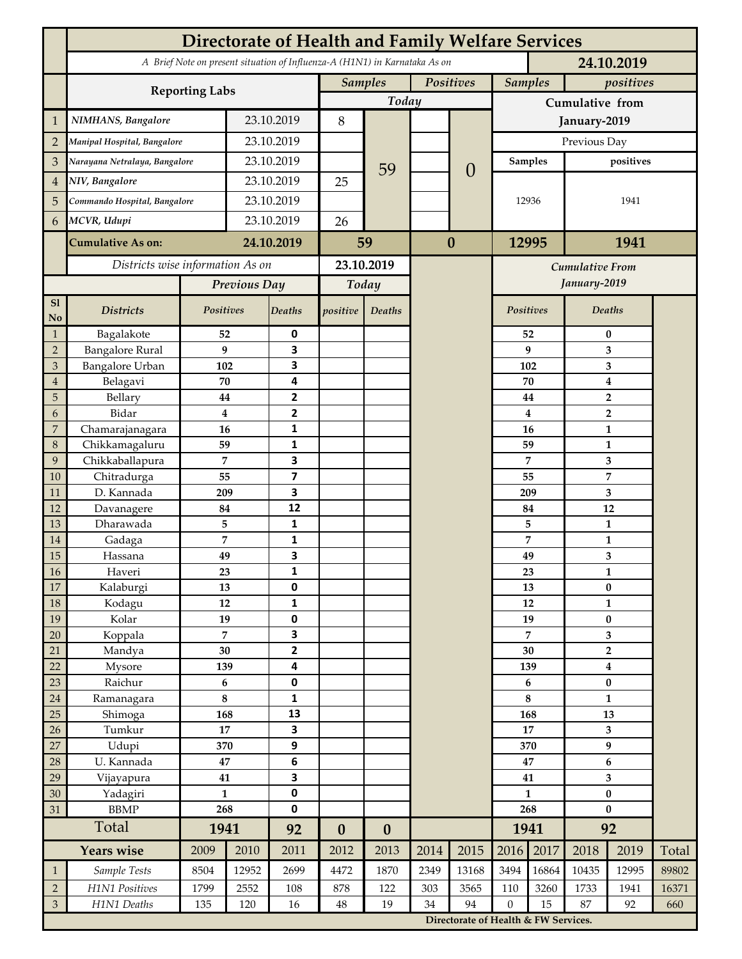|                     | <b>Directorate of Health and Family Welfare Services</b>                                 |                |            |                         |                  |                  |           |                                                                                     |                 |                |                        |                         |       |  |
|---------------------|------------------------------------------------------------------------------------------|----------------|------------|-------------------------|------------------|------------------|-----------|-------------------------------------------------------------------------------------|-----------------|----------------|------------------------|-------------------------|-------|--|
|                     | A Brief Note on present situation of Influenza-A (H1N1) in Karnataka As on<br>24.10.2019 |                |            |                         |                  |                  |           |                                                                                     |                 |                |                        |                         |       |  |
|                     | <b>Reporting Labs</b>                                                                    |                |            |                         | <b>Samples</b>   |                  | Positives |                                                                                     |                 | <b>Samples</b> |                        | positives               |       |  |
|                     |                                                                                          |                |            |                         | Today            |                  |           |                                                                                     | Cumulative from |                |                        |                         |       |  |
| $\mathbf{1}$        | NIMHANS, Bangalore                                                                       | 23.10.2019     |            | 8                       |                  |                  |           |                                                                                     | January-2019    |                |                        |                         |       |  |
| $\overline{2}$      | Manipal Hospital, Bangalore                                                              |                | 23.10.2019 |                         |                  |                  |           |                                                                                     | Previous Day    |                |                        |                         |       |  |
| 3                   | Narayana Netralaya, Bangalore                                                            |                |            | 23.10.2019              |                  |                  |           | $\theta$                                                                            | <b>Samples</b>  |                | positives              |                         |       |  |
| $\overline{4}$      | NIV, Bangalore                                                                           |                | 23.10.2019 |                         | 25               | 59               |           |                                                                                     |                 |                |                        |                         |       |  |
| 5                   | Commando Hospital, Bangalore                                                             |                | 23.10.2019 |                         |                  |                  |           |                                                                                     | 12936           |                | 1941                   |                         |       |  |
| 6                   | MCVR, Udupi                                                                              |                | 23.10.2019 |                         | 26               |                  |           |                                                                                     |                 |                |                        |                         |       |  |
|                     | <b>Cumulative As on:</b>                                                                 |                |            | 24.10.2019              |                  |                  | $\bf{0}$  |                                                                                     | 12995           |                | 1941                   |                         |       |  |
|                     |                                                                                          |                |            | 59                      |                  |                  |           |                                                                                     |                 |                |                        |                         |       |  |
|                     | Districts wise information As on                                                         |                |            | 23.10.2019              |                  |                  |           |                                                                                     |                 |                | <b>Cumulative From</b> |                         |       |  |
|                     |                                                                                          | Previous Day   |            | Today                   |                  |                  |           |                                                                                     |                 |                | January-2019           |                         |       |  |
| S1<br>No            | <b>Districts</b>                                                                         | Positives      |            | Deaths                  | positive         | Deaths           |           |                                                                                     | Positives       |                |                        | Deaths                  |       |  |
| $\mathbf{1}$        | Bagalakote                                                                               | 52             |            | 0                       |                  |                  |           |                                                                                     |                 | 52             | $\bf{0}$               |                         |       |  |
| $\overline{2}$      | <b>Bangalore Rural</b>                                                                   | 9              |            | 3                       |                  |                  |           |                                                                                     |                 | 9              | 3                      |                         |       |  |
| 3                   | Bangalore Urban                                                                          | 102            |            | 3                       |                  |                  |           |                                                                                     | 102             |                | 3                      |                         |       |  |
| $\overline{4}$      | Belagavi                                                                                 | 70             |            | 4                       |                  |                  |           |                                                                                     |                 | 70             |                        | $\boldsymbol{4}$        |       |  |
| 5                   | Bellary                                                                                  | 44<br>$\bf{4}$ |            | 2<br>$\mathbf{2}$       |                  |                  |           |                                                                                     |                 | 44             |                        | $\overline{2}$          |       |  |
| 6<br>$\overline{7}$ | Bidar<br>Chamarajanagara                                                                 | 16             |            | 1                       |                  |                  |           |                                                                                     |                 | 4<br>16        |                        | $\overline{2}$<br>1     |       |  |
| 8                   | Chikkamagaluru                                                                           | 59             |            | 1                       |                  |                  |           |                                                                                     |                 | 59             |                        | 1                       |       |  |
| 9                   | Chikkaballapura                                                                          | 7              |            | 3                       |                  |                  |           |                                                                                     |                 | 7              |                        | 3                       |       |  |
| 10                  | Chitradurga                                                                              | 55             |            | $\overline{\mathbf{z}}$ |                  |                  |           |                                                                                     |                 | 55             |                        | 7                       |       |  |
| 11                  | D. Kannada                                                                               | 209            |            | 3                       |                  |                  |           |                                                                                     |                 | 209            |                        | 3                       |       |  |
| 12                  | Davanagere                                                                               | 84             |            | 12                      |                  |                  |           |                                                                                     |                 | 84             |                        | 12                      |       |  |
| 13                  | Dharawada                                                                                | 5              |            | $\mathbf{1}$            |                  |                  |           |                                                                                     |                 | 5              |                        | $\mathbf{1}$            |       |  |
| 14                  | Gadaga                                                                                   | 7              |            | 1                       |                  |                  |           |                                                                                     |                 | 7              |                        | 1                       |       |  |
| 15                  | Hassana                                                                                  | 49             |            | 3                       |                  |                  |           |                                                                                     |                 | 49             |                        | 3                       |       |  |
| <b>16</b>           | Haveri                                                                                   | 23             |            | 1                       |                  |                  |           |                                                                                     |                 | 23             | 1                      |                         |       |  |
| 17                  | Kalaburgi                                                                                | 13             |            | 0                       |                  |                  |           |                                                                                     |                 | 13             |                        | $\pmb{0}$               |       |  |
| 18                  | Kodagu                                                                                   | 12<br>19       |            | $\mathbf{1}$            |                  |                  |           |                                                                                     |                 | 12             |                        | $\mathbf{1}$            |       |  |
| 19<br>20            | Kolar                                                                                    | $\overline{7}$ |            | 0<br>3                  |                  |                  |           |                                                                                     |                 | 19<br>7        |                        | $\pmb{0}$<br>3          |       |  |
| 21                  | Koppala<br>Mandya                                                                        | $30\,$         |            | $\mathbf{2}$            |                  |                  |           |                                                                                     | 30              |                | $\mathbf 2$            |                         |       |  |
| 22                  | Mysore                                                                                   | 139            |            | 4                       |                  |                  |           |                                                                                     |                 | 139            | $\boldsymbol{4}$       |                         |       |  |
| 23                  | Raichur                                                                                  | $\bf 6$        |            | $\pmb{0}$               |                  |                  |           |                                                                                     |                 | 6              |                        | $\pmb{0}$               |       |  |
| $24\,$              | Ramanagara                                                                               | 8              |            | 1                       |                  |                  |           |                                                                                     | 8               |                | $\mathbf{1}$           |                         |       |  |
| 25                  | Shimoga                                                                                  | 168            |            | 13                      |                  |                  |           |                                                                                     |                 | 168            |                        | 13                      |       |  |
| 26                  | Tumkur                                                                                   | 17             |            | 3                       |                  |                  |           |                                                                                     | 17              |                | 3                      |                         |       |  |
| 27                  | Udupi                                                                                    | 370            |            | 9                       |                  |                  |           |                                                                                     |                 | 370            |                        | $\boldsymbol{9}$        |       |  |
| 28                  | U. Kannada                                                                               | $\bf 47$       |            | $\bf 6$                 |                  |                  |           |                                                                                     | 47              |                | $\bf 6$                |                         |       |  |
| 29                  | Vijayapura                                                                               | 41             |            | 3                       |                  |                  |           |                                                                                     |                 | 41             |                        | $\overline{\mathbf{3}}$ |       |  |
| 30                  | Yadagiri                                                                                 | $\mathbf{1}$   |            | 0                       |                  |                  |           |                                                                                     | $\mathbf{1}$    |                | $\pmb{0}$              |                         |       |  |
| 31                  | <b>BBMP</b>                                                                              | 268            |            | 0                       |                  |                  |           |                                                                                     | 268             |                | $\bf{0}$               |                         |       |  |
|                     | Total                                                                                    | 1941           |            | 92                      | $\boldsymbol{0}$ | $\boldsymbol{0}$ |           |                                                                                     |                 | 1941           | 92                     |                         |       |  |
|                     | <b>Years wise</b>                                                                        | 2009           | 2010       | 2011                    | 2012             | 2013             | 2014      | 2015                                                                                | 2016            | 2017           | 2018                   | 2019                    | Total |  |
| $\mathbf{1}$        | Sample Tests                                                                             | 8504           | 12952      | 2699                    | 4472             | 1870             | 2349      | 13168                                                                               | 3494            | 16864          | 10435                  | 12995                   | 89802 |  |
| $\overline{2}$      | H1N1 Positives                                                                           | 1799           | 2552       | 108                     | 878              | 122              | 303       | 3565                                                                                | 110             | 3260           | 1733                   | 1941                    | 16371 |  |
| $\mathfrak{Z}$      | H1N1 Deaths<br>135<br>120<br>16                                                          |                |            | $48\,$                  | 19               | 34               |           | 94<br>$\mathbf{0}$<br>15<br>87<br>92<br>660<br>Directorate of Health & FW Services. |                 |                |                        |                         |       |  |
|                     |                                                                                          |                |            |                         |                  |                  |           |                                                                                     |                 |                |                        |                         |       |  |